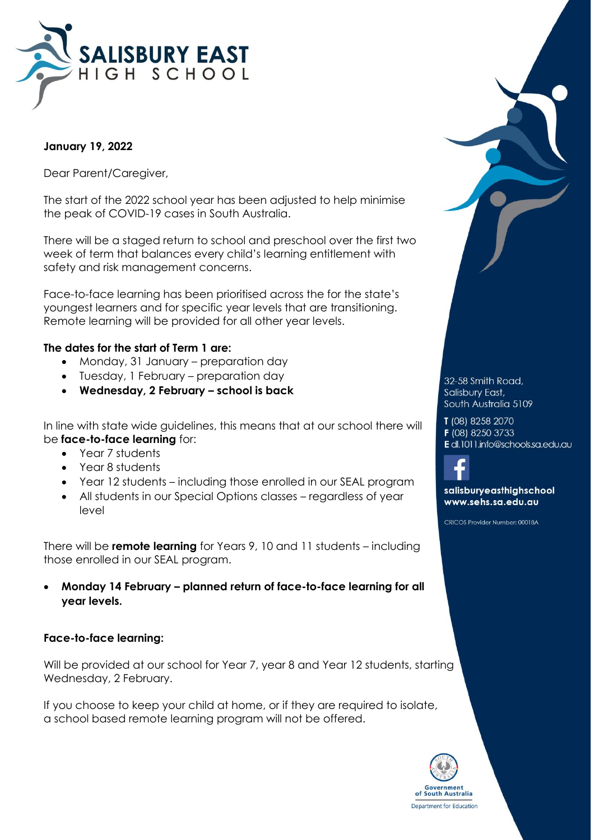

## **January 19, 2022**

Dear Parent/Caregiver,

The start of the 2022 school year has been adjusted to help minimise the peak of COVID-19 cases in South Australia.

There will be a staged return to school and preschool over the first two week of term that balances every child's learning entitlement with safety and risk management concerns.

Face-to-face learning has been prioritised across the for the state's youngest learners and for specific year levels that are transitioning. Remote learning will be provided for all other year levels.

#### **The dates for the start of Term 1 are:**

- Monday, 31 January preparation day
- Tuesday, 1 February preparation day
- **Wednesday, 2 February – school is back**

In line with state wide guidelines, this means that at our school there will be **face-to-face learning** for:

- Year 7 students
- Year 8 students
- Year 12 students including those enrolled in our SEAL program
- All students in our Special Options classes regardless of year level

There will be **remote learning** for Years 9, 10 and 11 students – including those enrolled in our SEAL program.

 **Monday 14 February – planned return of face-to-face learning for all year levels.**

#### **Face-to-face learning:**

Will be provided at our school for Year 7, year 8 and Year 12 students, starting Wednesday, 2 February.

If you choose to keep your child at home, or if they are required to isolate, a school based remote learning program will not be offered.



T (08) 8258 2070

- F (08) 8250 3733
- E dl.1011.info@schools.sa.edu.au



salisburyeasthighschool www.sehs.sa.edu.au

CRICOS Provider Number: 00018A

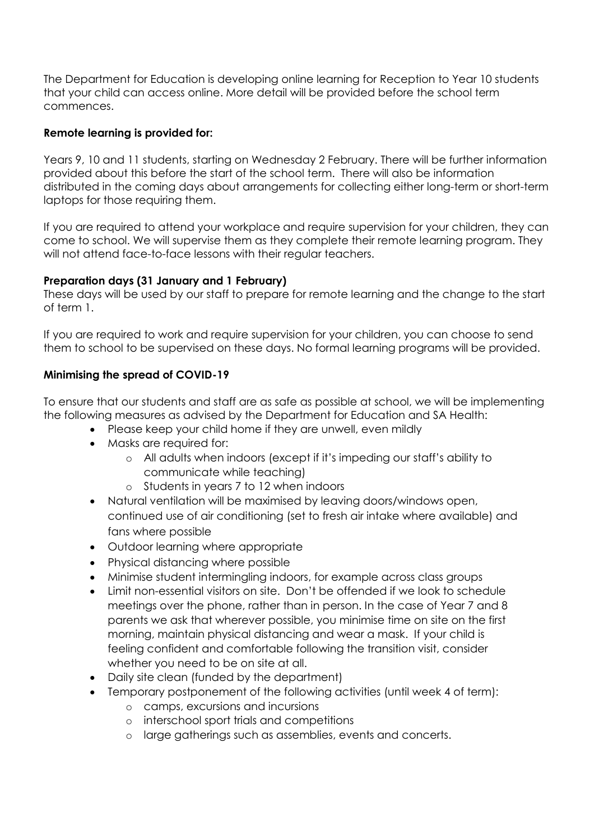The Department for Education is developing online learning for Reception to Year 10 students that your child can access online. More detail will be provided before the school term commences.

### **Remote learning is provided for:**

Years 9, 10 and 11 students, starting on Wednesday 2 February. There will be further information provided about this before the start of the school term. There will also be information distributed in the coming days about arrangements for collecting either long-term or short-term laptops for those requiring them.

If you are required to attend your workplace and require supervision for your children, they can come to school. We will supervise them as they complete their remote learning program. They will not attend face-to-face lessons with their regular teachers.

## **Preparation days (31 January and 1 February)**

These days will be used by our staff to prepare for remote learning and the change to the start of term 1.

If you are required to work and require supervision for your children, you can choose to send them to school to be supervised on these days. No formal learning programs will be provided.

# **Minimising the spread of COVID-19**

To ensure that our students and staff are as safe as possible at school, we will be implementing the following measures as advised by the Department for Education and SA Health:

- Please keep your child home if they are unwell, even mildly
- Masks are required for:
	- o All adults when indoors (except if it's impeding our staff's ability to communicate while teaching)
	- o Students in years 7 to 12 when indoors
- Natural ventilation will be maximised by leaving doors/windows open, continued use of air conditioning (set to fresh air intake where available) and fans where possible
- Outdoor learning where appropriate
- Physical distancing where possible
- Minimise student intermingling indoors, for example across class groups
- Limit non-essential visitors on site. Don't be offended if we look to schedule meetings over the phone, rather than in person. In the case of Year 7 and 8 parents we ask that wherever possible, you minimise time on site on the first morning, maintain physical distancing and wear a mask. If your child is feeling confident and comfortable following the transition visit, consider whether you need to be on site at all.
- Daily site clean (funded by the department)
- Temporary postponement of the following activities (until week 4 of term):
	- o camps, excursions and incursions
	- o interschool sport trials and competitions
	- o large gatherings such as assemblies, events and concerts.